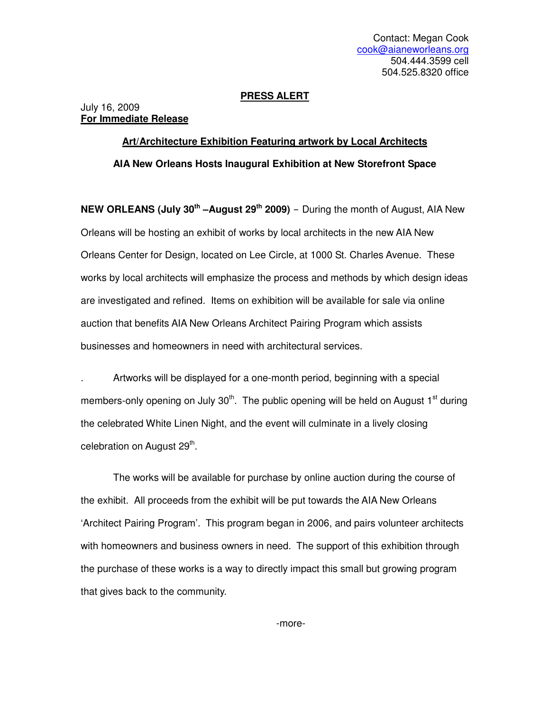## **PRESS ALERT**

## July 16, 2009 **For Immediate Release**

## **Art/Architecture Exhibition Featuring artwork by Local Architects AIA New Orleans Hosts Inaugural Exhibition at New Storefront Space**

**NEW ORLEANS (July 30th –August 29th 2009)** – During the month of August, AIA New Orleans will be hosting an exhibit of works by local architects in the new AIA New Orleans Center for Design, located on Lee Circle, at 1000 St. Charles Avenue. These works by local architects will emphasize the process and methods by which design ideas are investigated and refined. Items on exhibition will be available for sale via online auction that benefits AIA New Orleans Architect Pairing Program which assists businesses and homeowners in need with architectural services.

. Artworks will be displayed for a one-month period, beginning with a special members-only opening on July  $30<sup>th</sup>$ . The public opening will be held on August 1<sup>st</sup> during the celebrated White Linen Night, and the event will culminate in a lively closing celebration on August 29<sup>th</sup>.

The works will be available for purchase by online auction during the course of the exhibit. All proceeds from the exhibit will be put towards the AIA New Orleans 'Architect Pairing Program'. This program began in 2006, and pairs volunteer architects with homeowners and business owners in need. The support of this exhibition through the purchase of these works is a way to directly impact this small but growing program that gives back to the community.

-more-